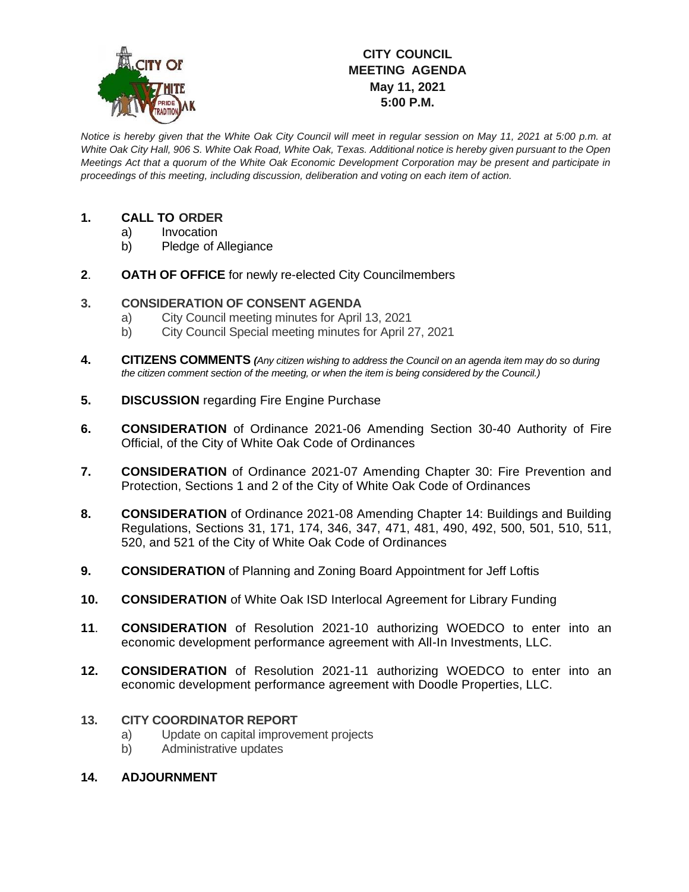

## **CITY COUNCIL MEETING AGENDA May 11, 2021 5:00 P.M.**

*Notice is hereby given that the White Oak City Council will meet in regular session on May 11, 2021 at 5:00 p.m. at White Oak City Hall, 906 S. White Oak Road, White Oak, Texas. Additional notice is hereby given pursuant to the Open Meetings Act that a quorum of the White Oak Economic Development Corporation may be present and participate in proceedings of this meeting, including discussion, deliberation and voting on each item of action.*

## **1. CALL TO ORDER**

- a) Invocation
- b) Pledge of Allegiance
- **2**. **OATH OF OFFICE** for newly re-elected City Councilmembers

## **3. CONSIDERATION OF CONSENT AGENDA**

- a) City Council meeting minutes for April 13, 2021
- b) City Council Special meeting minutes for April 27, 2021
- **4. CITIZENS COMMENTS** *(Any citizen wishing to address the Council on an agenda item may do so during the citizen comment section of the meeting, or when the item is being considered by the Council.)*
- **5. DISCUSSION** regarding Fire Engine Purchase
- **6. CONSIDERATION** of Ordinance 2021-06 Amending Section 30-40 Authority of Fire Official, of the City of White Oak Code of Ordinances
- **7. CONSIDERATION** of Ordinance 2021-07 Amending Chapter 30: Fire Prevention and Protection, Sections 1 and 2 of the City of White Oak Code of Ordinances
- **8. CONSIDERATION** of Ordinance 2021-08 Amending Chapter 14: Buildings and Building Regulations, Sections 31, 171, 174, 346, 347, 471, 481, 490, 492, 500, 501, 510, 511, 520, and 521 of the City of White Oak Code of Ordinances
- **9. CONSIDERATION** of Planning and Zoning Board Appointment for Jeff Loftis
- **10. CONSIDERATION** of White Oak ISD Interlocal Agreement for Library Funding
- **11**. **CONSIDERATION** of Resolution 2021-10 authorizing WOEDCO to enter into an economic development performance agreement with All-In Investments, LLC.
- **12. CONSIDERATION** of Resolution 2021-11 authorizing WOEDCO to enter into an economic development performance agreement with Doodle Properties, LLC.

## **13. CITY COORDINATOR REPORT**

- a) Update on capital improvement projects
- b) Administrative updates
- **14. ADJOURNMENT**